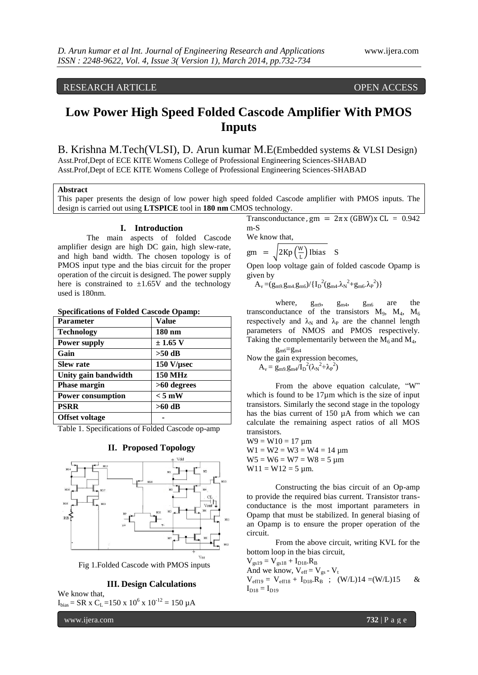# RESEARCH ARTICLE **CONTRACT OPEN ACCESS**

# **Low Power High Speed Folded Cascode Amplifier With PMOS Inputs**

B. Krishna M.Tech(VLSI), D. Arun kumar M.E(Embedded systems & VLSI Design) Asst.Prof,Dept of ECE KITE Womens College of Professional Engineering Sciences-SHABAD Asst.Prof,Dept of ECE KITE Womens College of Professional Engineering Sciences-SHABAD

# **Abstract**

This paper presents the design of low power high speed folded Cascode amplifier with PMOS inputs. The design is carried out using **LTSPICE** tool in **180 nm** CMOS technology.

#### **I. Introduction**

The main aspects of folded Cascode amplifier design are high DC gain, high slew-rate, and high band width. The chosen topology is of PMOS input type and the bias circuit for the proper operation of the circuit is designed. The power supply here is constrained to  $\pm 1.65V$  and the technology used is 180nm.

# **Specifications of Folded Cascode Opamp:**

| <b>Parameter</b>         | <b>Value</b>       |
|--------------------------|--------------------|
| <b>Technology</b>        | 180 nm             |
| <b>Power supply</b>      | $\pm$ 1.65 V       |
| Gain                     | $>50$ dB           |
| <b>Slew rate</b>         | $150$ V/ $\mu$ sec |
| Unity gain bandwidth     | <b>150 MHz</b>     |
| <b>Phase margin</b>      | $>60$ degrees      |
| <b>Power consumption</b> | $< 5$ mW           |
| <b>PSRR</b>              | >60 dB             |
| <b>Offset voltage</b>    |                    |

Table 1. Specifications of Folded Cascode op-amp



Fig 1.Folded Cascode with PMOS inputs

#### **III. Design Calculations**

We know that,  $I_{bias}$  = SR x C<sub>L</sub> = 150 x 10<sup>6</sup> x 10<sup>-12</sup> = 150 µA

www.ijera.com **732** | P a g e

Transconductance,  $gm = 2\pi x (GBW)x CL = 0.942$ m-S

We know that,

 $\text{gm} = \frac{2 \text{Kp} \left(\frac{W}{l}\right)}{2 \text{Kp} \left(\frac{W}{l}\right)}$  $\frac{W}{L}$ ) Ibias S

Open loop voltage gain of folded cascode Opamp is given by

 $A_v = (g_{m9}.g_{m4}.g_{m6}) / \{I_D{}^2 (g_{m4}. \lambda_N{}^2 + g_{m6}. \lambda_P{}^2)\}$ 

where,  $g_{m9}$ ,  $g_{m4}$ ,  $g_{m6}$  are the transconductance of the transistors  $M_9$ ,  $M_4$ ,  $M_6$ respectively and  $\lambda_N$  and  $\lambda_P$  are the channel length parameters of NMOS and PMOS respectively. Taking the complementarily between the  $M_6$  and  $M_4$ ,

 $g_{m6}=g_{m4}$ 

Now the gain expression becomes,

$$
A_v = g_{m9.}g_{m4}/I_D^2(\lambda_N^2 + \lambda_P^2)
$$

From the above equation calculate, "W" which is found to be  $17\mu m$  which is the size of input transistors. Similarly the second stage in the topology has the bias current of 150 µA from which we can calculate the remaining aspect ratios of all MOS transistors.

 $W9 = W10 = 17 \mu m$  $W1 = W2 = W3 = W4 = 14 \mu m$  $W5 = W6 = W7 = W8 = 5 \mu m$  $W11 = W12 = 5 \mu m$ .

Constructing the bias circuit of an Op-amp to provide the required bias current. Transistor transconductance is the most important parameters in Opamp that must be stabilized. In general biasing of an Opamp is to ensure the proper operation of the circuit.

From the above circuit, writing KVL for the bottom loop in the bias circuit,

 $V_{gs19} = V_{gs18} + I_{D18}$ . $R_B$ And we know,  $V_{\text{eff}} = V_{gs} - V_t$  $V_{\text{eff19}} = V_{\text{eff18}} + I_{D18}R_{B}$  ;  $(W/L)14 = (W/L)15$  &  $I_{D18} = I_{D19}$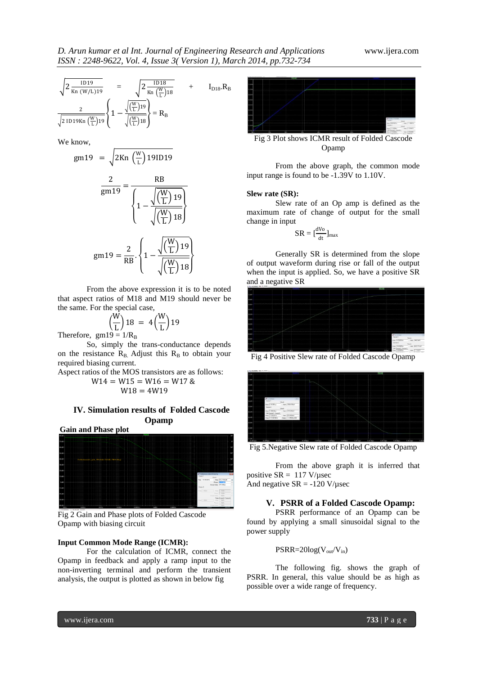$$
\frac{\sqrt{2\,\frac{\text{ID}\,19}{\text{Kn}\,\left(W/L\right)19}}}{\sqrt{2\,\frac{\text{ID}\,18}{\text{Kn}\,\left(\frac{W}{L}\right)19}}}\quad+\quad I_{\text{D18}}.R_{\text{B}}
$$
\n
$$
\frac{2}{\sqrt{2\,\text{ID}\,19\,\text{Kn}\,\left(\frac{W}{L}\right)19}}\left\{1-\frac{\sqrt{\left(\frac{W}{L}\right)19}}{\sqrt{\left(\frac{W}{L}\right)18}}\right\}=R_{\text{B}}
$$

We know,

$$
gm19 = \sqrt{2Kn \left(\frac{W}{L}\right) 191D19}
$$

$$
\frac{2}{gm19} = \frac{RB}{\sqrt{\frac{W}{L}19}}
$$

$$
gm19 = \frac{2}{RB} \cdot \left\{ 1 - \frac{\sqrt{\frac{W}{L}19}}{\sqrt{\frac{W}{L}18}} \right\}
$$

From the above expression it is to be noted that aspect ratios of M18 and M19 should never be the same. For the special case,

$$
\left(\frac{W}{L}\right)18 = 4\left(\frac{W}{L}\right)19
$$
  
n19 = 1/R<sub>B</sub>

Therefore, gm

So, simply the trans-conductance depends on the resistance  $R_B$ . Adjust this  $R_B$  to obtain your required biasing current.

Aspect ratios of the MOS transistors are as follows:

$$
W14 = W15 = W16 = W17 & W18 = 4W19
$$

# **IV. Simulation results of Folded Cascode Opamp**





Fig 2 Gain and Phase plots of Folded Cascode Opamp with biasing circuit

### **Input Common Mode Range (ICMR):**

For the calculation of ICMR, connect the Opamp in feedback and apply a ramp input to the non-inverting terminal and perform the transient analysis, the output is plotted as shown in below fig



Fig 3 Plot shows ICMR result of Folded Cascode Opamp

From the above graph, the common mode input range is found to be -1.39V to 1.10V.

#### **Slew rate (SR):**

Slew rate of an Op amp is defined as the maximum rate of change of output for the small change in input

$$
SR = [\frac{dV_0}{dt}]_{max}
$$

Generally SR is determined from the slope of output waveform during rise or fall of the output when the input is applied. So, we have a positive SR and a negative SR



Fig 4 Positive Slew rate of Folded Cascode Opamp



Fig 5.Negative Slew rate of Folded Cascode Opamp

From the above graph it is inferred that positive  $SR = 117$  V/usec

And negative  $SR = -120 \text{ V}/\mu \text{sec}$ 

# **V. PSRR of a Folded Cascode Opamp:**

PSRR performance of an Opamp can be found by applying a small sinusoidal signal to the power supply

$$
PSRR = 20 log(V_{out}/V_{in})
$$

The following fig. shows the graph of PSRR. In general, this value should be as high as possible over a wide range of frequency.